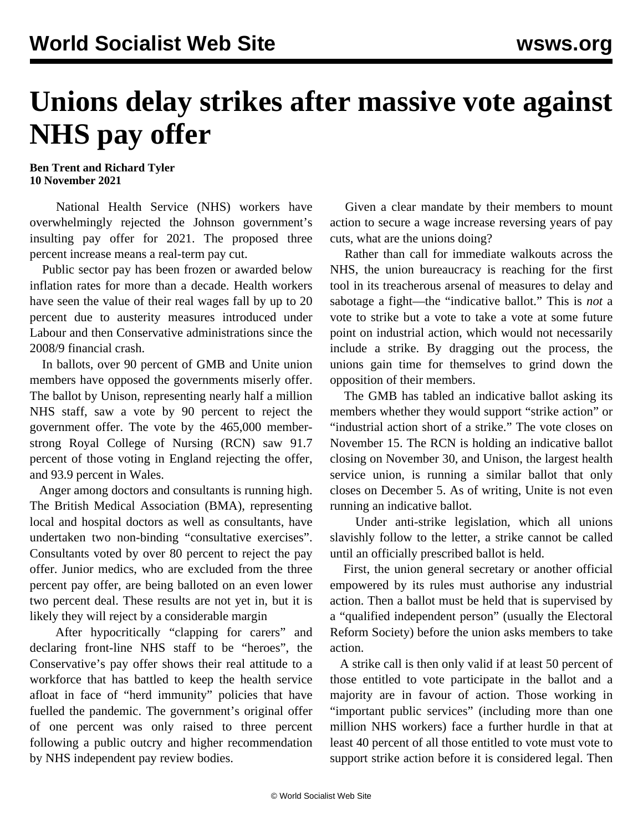## **Unions delay strikes after massive vote against NHS pay offer**

## **Ben Trent and Richard Tyler 10 November 2021**

 National Health Service (NHS) workers have overwhelmingly rejected the Johnson government's insulting pay offer for 2021. The proposed three percent increase means a real-term pay cut.

 Public sector pay has been frozen or awarded below inflation rates for more than a decade. Health workers have seen the value of their real wages fall by up to 20 percent due to austerity measures introduced under Labour and then Conservative administrations since the 2008/9 financial crash.

 In ballots, over 90 percent of GMB and Unite union members have opposed the governments miserly offer. The ballot by Unison, representing nearly half a million NHS staff, saw a vote by 90 percent to reject the government offer. The vote by the 465,000 memberstrong Royal College of Nursing (RCN) saw 91.7 percent of those voting in England rejecting the offer, and 93.9 percent in Wales.

 Anger among doctors and consultants is running high. The British Medical Association (BMA), representing local and hospital doctors as well as consultants, have undertaken two non-binding "consultative exercises". Consultants voted by over 80 percent to reject the pay offer. Junior medics, who are excluded from the three percent pay offer, are being balloted on an even lower two percent deal. These results are not yet in, but it is likely they will reject by a considerable margin

 After hypocritically "clapping for carers" and declaring front-line NHS staff to be "heroes", the Conservative's pay offer shows their real attitude to a workforce that has battled to keep the health service afloat in face of "herd immunity" policies that have fuelled the pandemic. The government's original offer of one percent was only raised to three percent following a public outcry and higher recommendation by NHS independent pay review bodies.

 Given a clear mandate by their members to mount action to secure a wage increase reversing years of pay cuts, what are the unions doing?

 Rather than call for immediate walkouts across the NHS, the union bureaucracy is reaching for the first tool in its treacherous arsenal of measures to delay and sabotage a fight—the "indicative ballot." This is *not* a vote to strike but a vote to take a vote at some future point on industrial action, which would not necessarily include a strike. By dragging out the process, the unions gain time for themselves to grind down the opposition of their members.

 The GMB has tabled an indicative ballot asking its members whether they would support "strike action" or "industrial action short of a strike." The vote closes on November 15. The RCN is holding an indicative ballot closing on November 30, and Unison, the largest health service union, is running a similar ballot that only closes on December 5. As of writing, Unite is not even running an indicative ballot.

 Under anti-strike legislation, which all unions slavishly follow to the letter, a strike cannot be called until an officially prescribed ballot is held.

 First, the union general secretary or another official empowered by its rules must authorise any industrial action. Then a ballot must be held that is supervised by a "qualified independent person" (usually the Electoral Reform Society) before the union asks members to take action.

 A strike call is then only valid if at least 50 percent of those entitled to vote participate in the ballot and a majority are in favour of action. Those working in "important public services" (including more than one million NHS workers) face a further hurdle in that at least 40 percent of all those entitled to vote must vote to support strike action before it is considered legal. Then